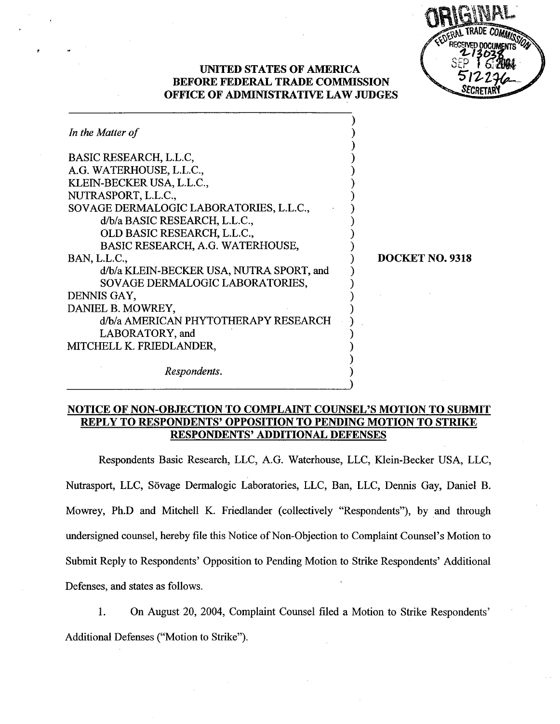| COERAL TRADE COMMISSION      |
|------------------------------|
| RECEIVED DOCUMENTS<br>213038 |
| 512276                       |
| <b>SECRETA</b>               |

## UNTED STATES OF AMRICA BEFORE FEDERAL TRADE COMMISSION OFFICE OF ADMINISTRATIVE LAW JUDGES

| DOCKET NO. 9318 |
|-----------------|
|                 |
|                 |
|                 |
|                 |
|                 |
|                 |
|                 |
|                 |
|                 |
|                 |

## NOTICE OF NON-OBJECTION TO COMPLAINT COUNSEL'S MOTION TO SUBMIT REPLY TO RESPONDENTS' OPPOSITION TO PENDING MOTION TO STRI RESPONDENTS' ADDITIONAL DEFENSES

Respondents Basic Research, LLC, A.G. Waterhouse, LLC, Klein-Becker USA, LLC Nutrasport, LLC, Sövage Dermalogic Laboratories, LLC, Ban, LLC, Dennis Gay, Daniel B. Mowrey, Ph.D and Mitchell K. Friedlander (collectively "Respondents"), by and through undersigned counsel, hereby fie this Notice of Non-Objection to Complaint Counsel's Motion to Submit Reply to Respondents' Opposition to Pending Motion to Strike Respondents' Additional Defenses, and states as follows.

 $\mathbf{1}$ . On August 20, 2004, Complaint Counsel filed a Motion to Strike Respondents Additional Defenses ("Motion to Strike").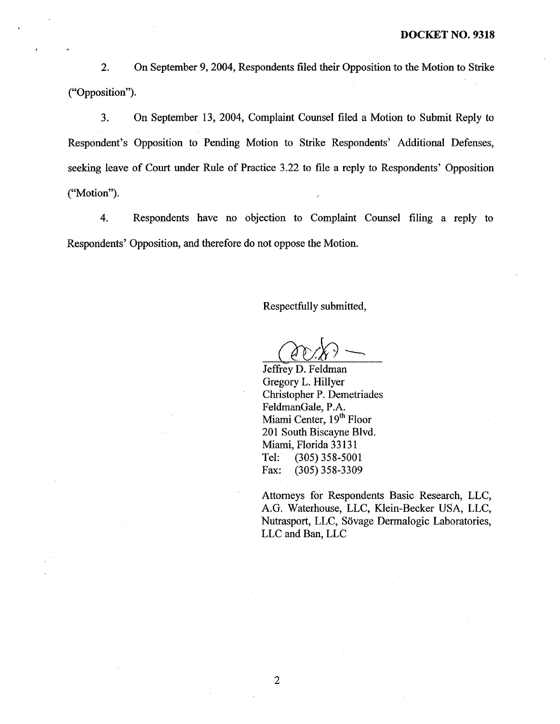$2.$ On September 9, 2004, Respondents filed their Opposition to the Motion to Strike ("Opposition").

 $3.$ On September 13, 2004, Complaint Counsel filed a Motion to Submit Reply to Respondent's Opposition to Pending Motion to Strike Respondents' Additional Defenses, seeking leave of Court under Rule of Practice 3.22 to file a reply to Respondents' Opposition ("Motion").

4. Respondents have no objection to Complaint Counsel filing a reply to Respondents' Opposition, and therefore do not oppose the Motion.

Respectfully submitted

Jeffrey D. Feldman Gregory L. Hilyer Christopher P. Demetriades FeldmanGale, P. Miami Center, 19<sup>th</sup> Floor 201 South Biscayne Blvd. Miami, Florida 33131 Tel: (305) 358-5001<br>Fax: (305) 358-3309 (305) 358-3309

Attorneys for Respondents Basic Research, LLC AG. Waterhouse LLC, Klein-Becker USA, LLC Nutrasport, LLC, Sövage Dermalogic Laboratories, LLC and Ban, LLC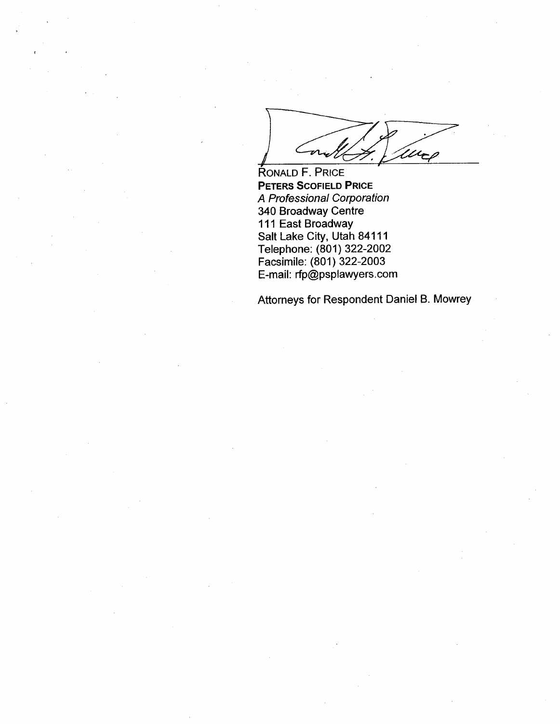urp

RONALD F. PRICE PETERS SCOFIELD PRICE A Professional Corporation 340 Broadway Centre 111 East Broadway Salt Lake City, Utah 84111 Telephone: (801) 322-2002 Facsimile: (801) 322-2003 E-mail: rfp(Qpsplawyers. com

Attorneys for Respondent Daniel B. Mowrey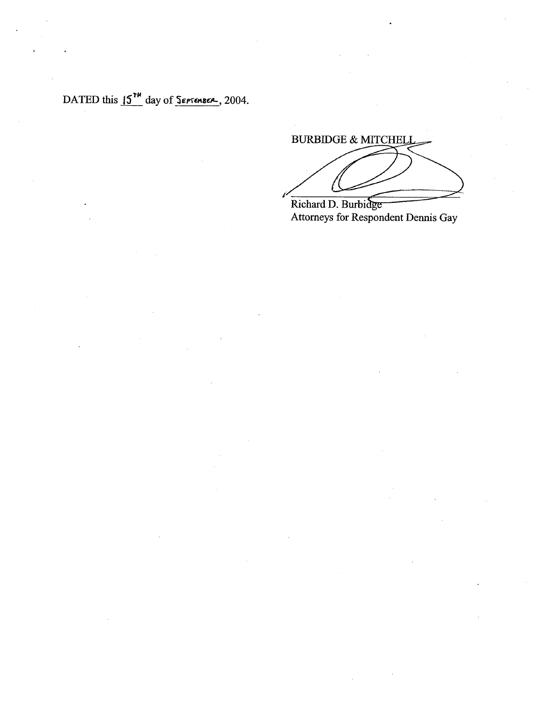DATED this  $15^{14}$  day of  $S$ *ersenses*, 2004.

**BURBIDGE & MITCHELI** 

Richard D. Burbidge Attorneys for Respondent Dennis Gay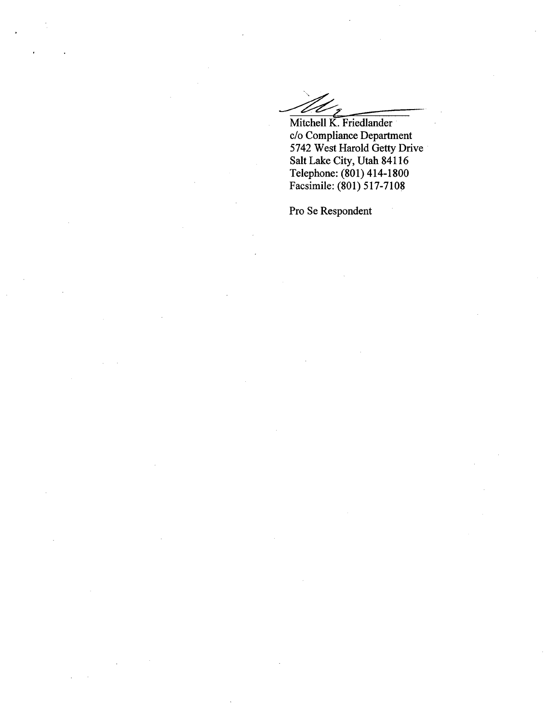Mitchell K. Friedlander c/o Compliance Deparment 5742 West Harold Getty Drive Salt Lake City, Utah 84116 Telephone: (801) 414- 1800 Facsimile: (801) 517-7108

Pro Se Respondent